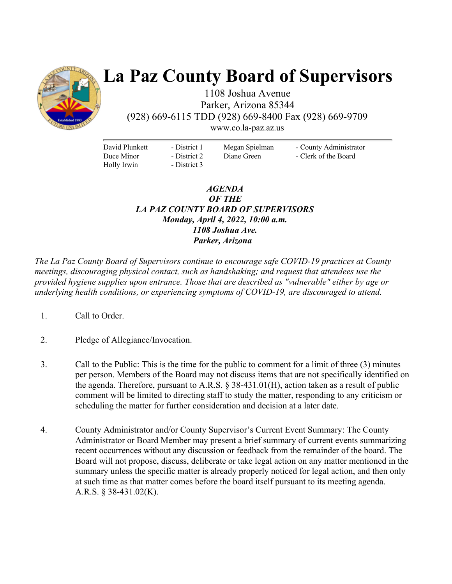

# **La Paz County Board of Supervisors**

1108 Joshua Avenue Parker, Arizona 85344 (928) 669-6115 TDD (928) 669-8400 Fax (928) 669-9709

www.co.la-paz.az.us

David Plunkett Duce Minor Holly Irwin

- District 1 - District 2 - District 3 Megan Spielman Diane Green

- County Administrator - Clerk of the Board

### *AGENDA OF THE LA PAZ COUNTY BOARD OF SUPERVISORS Monday, April 4, 2022, 10:00 a.m. 1108 Joshua Ave. Parker, Arizona*

*The La Paz County Board of Supervisors continue to encourage safe COVID-19 practices at County meetings, discouraging physical contact, such as handshaking; and request that attendees use the provided hygiene supplies upon entrance. Those that are described as "vulnerable" either by age or underlying health conditions, or experiencing symptoms of COVID-19, are discouraged to attend.* 

- 1. Call to Order.
- 2. Pledge of Allegiance/Invocation.
- 3. Call to the Public: This is the time for the public to comment for a limit of three (3) minutes per person. Members of the Board may not discuss items that are not specifically identified on the agenda. Therefore, pursuant to A.R.S.  $\S$  38-431.01(H), action taken as a result of public comment will be limited to directing staff to study the matter, responding to any criticism or scheduling the matter for further consideration and decision at a later date.
- 4. County Administrator and/or County Supervisor's Current Event Summary: The County Administrator or Board Member may present a brief summary of current events summarizing recent occurrences without any discussion or feedback from the remainder of the board. The Board will not propose, discuss, deliberate or take legal action on any matter mentioned in the summary unless the specific matter is already properly noticed for legal action, and then only at such time as that matter comes before the board itself pursuant to its meeting agenda. A.R.S. § 38-431.02(K).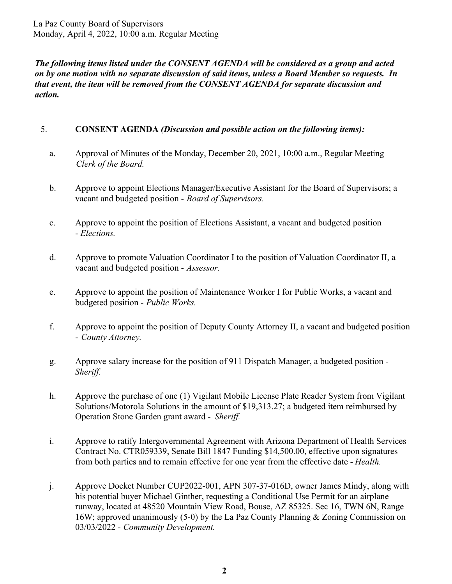La Paz County Board of Supervisors Monday, April 4, 2022, 10:00 a.m. Regular Meeting

*The following items listed under the CONSENT AGENDA will be considered as a group and acted on by one motion with no separate discussion of said items, unless a Board Member so requests. In that event, the item will be removed from the CONSENT AGENDA for separate discussion and action.* 

#### 5. **CONSENT AGENDA** *(Discussion and possible action on the following items):*

- a. Approval of Minutes of the Monday, December 20, 2021, 10:00 a.m., Regular Meeting *Clerk of the Board.*
- b. Approve to appoint Elections Manager/Executive Assistant for the Board of Supervisors; a vacant and budgeted position - *Board of Supervisors.*
- c. Approve to appoint the position of Elections Assistant, a vacant and budgeted position - *Elections.*
- d. Approve to promote Valuation Coordinator I to the position of Valuation Coordinator II, a vacant and budgeted position - *Assessor.*
- e. Approve to appoint the position of Maintenance Worker I for Public Works, a vacant and budgeted position - *Public Works.*
- f. Approve to appoint the position of Deputy County Attorney II, a vacant and budgeted position - *County Attorney.*
- g. Approve salary increase for the position of 911 Dispatch Manager, a budgeted position *Sheriff.*
- h. Approve the purchase of one (1) Vigilant Mobile License Plate Reader System from Vigilant Solutions/Motorola Solutions in the amount of \$19,313.27; a budgeted item reimbursed by Operation Stone Garden grant award - *Sheriff.*
- i. Approve to ratify Intergovernmental Agreement with Arizona Department of Health Services Contract No. CTR059339, Senate Bill 1847 Funding \$14,500.00, effective upon signatures from both parties and to remain effective for one year from the effective date - *Health.*
- j. Approve Docket Number CUP2022-001, APN 307-37-016D, owner James Mindy, along with his potential buyer Michael Ginther, requesting a Conditional Use Permit for an airplane runway, located at 48520 Mountain View Road, Bouse, AZ 85325. Sec 16, TWN 6N, Range 16W; approved unanimously (5-0) by the La Paz County Planning & Zoning Commission on 03/03/2022 - *Community Development.*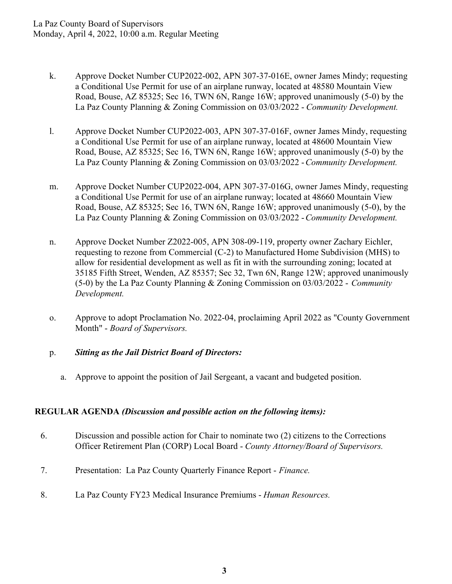- k. Approve Docket Number CUP2022-002, APN 307-37-016E, owner James Mindy; requesting a Conditional Use Permit for use of an airplane runway, located at 48580 Mountain View Road, Bouse, AZ 85325; Sec 16, TWN 6N, Range 16W; approved unanimously (5-0) by the La Paz County Planning & Zoning Commission on 03/03/2022 - *Community Development.*
- l. Approve Docket Number CUP2022-003, APN 307-37-016F, owner James Mindy, requesting a Conditional Use Permit for use of an airplane runway, located at 48600 Mountain View Road, Bouse, AZ 85325; Sec 16, TWN 6N, Range 16W; approved unanimously (5-0) by the La Paz County Planning & Zoning Commission on 03/03/2022 - *Community Development.*
- m. Approve Docket Number CUP2022-004, APN 307-37-016G, owner James Mindy, requesting a Conditional Use Permit for use of an airplane runway; located at 48660 Mountain View Road, Bouse, AZ 85325; Sec 16, TWN 6N, Range 16W; approved unanimously (5-0), by the La Paz County Planning & Zoning Commission on 03/03/2022 - *Community Development.*
- n. Approve Docket Number Z2022-005, APN 308-09-119, property owner Zachary Eichler, requesting to rezone from Commercial (C-2) to Manufactured Home Subdivision (MHS) to allow for residential development as well as fit in with the surrounding zoning; located at 35185 Fifth Street, Wenden, AZ 85357; Sec 32, Twn 6N, Range 12W; approved unanimously (5-0) by the La Paz County Planning & Zoning Commission on 03/03/2022 - *Community Development.*
- o. Approve to adopt Proclamation No. 2022-04, proclaiming April 2022 as "County Government Month" - *Board of Supervisors.*

## p. *Sitting as the Jail District Board of Directors:*

a. Approve to appoint the position of Jail Sergeant, a vacant and budgeted position.

## **REGULAR AGENDA** *(Discussion and possible action on the following items):*

- 6. Discussion and possible action for Chair to nominate two (2) citizens to the Corrections Officer Retirement Plan (CORP) Local Board - *County Attorney/Board of Supervisors.*
- 7. Presentation: La Paz County Quarterly Finance Report *Finance.*
- 8. La Paz County FY23 Medical Insurance Premiums *Human Resources.*